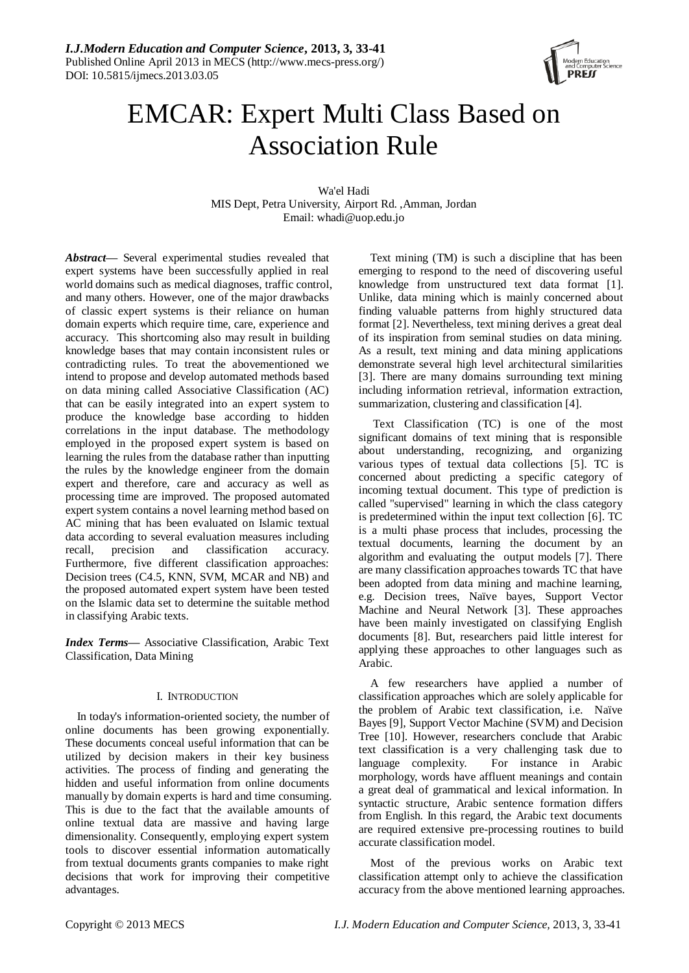

# EMCAR: Expert Multi Class Based on Association Rule

Wa'el Hadi MIS Dept, Petra University, Airport Rd. ,Amman, Jordan Email: whadi@uop.edu.jo

*Abstract***—** Several experimental studies revealed that expert systems have been successfully applied in real world domains such as medical diagnoses, traffic control, and many others. However, one of the major drawbacks of classic expert systems is their reliance on human domain experts which require time, care, experience and accuracy. This shortcoming also may result in building knowledge bases that may contain inconsistent rules or contradicting rules. To treat the abovementioned we intend to propose and develop automated methods based on data mining called Associative Classification (AC) that can be easily integrated into an expert system to produce the knowledge base according to hidden correlations in the input database. The methodology employed in the proposed expert system is based on learning the rules from the database rather than inputting the rules by the knowledge engineer from the domain expert and therefore, care and accuracy as well as processing time are improved. The proposed automated expert system contains a novel learning method based on AC mining that has been evaluated on Islamic textual data according to several evaluation measures including recall, precision and classification accuracy. Furthermore, five different classification approaches: Decision trees (C4.5, KNN, SVM, MCAR and NB) and the proposed automated expert system have been tested on the Islamic data set to determine the suitable method in classifying Arabic texts.

*Index Terms***—** Associative Classification, Arabic Text Classification, Data Mining

## I. INTRODUCTION

In today's information-oriented society, the number of online documents has been growing exponentially. These documents conceal useful information that can be utilized by decision makers in their key business activities. The process of finding and generating the hidden and useful information from online documents manually by domain experts is hard and time consuming. This is due to the fact that the available amounts of online textual data are massive and having large dimensionality. Consequently, employing expert system tools to discover essential information automatically from textual documents grants companies to make right decisions that work for improving their competitive advantages.

Text mining (TM) is such a discipline that has been emerging to respond to the need of discovering useful knowledge from unstructured text data format [1]. Unlike, data mining which is mainly concerned about finding valuable patterns from highly structured data format [2]. Nevertheless, text mining derives a great deal of its inspiration from seminal studies on data mining. As a result, text mining and data mining applications demonstrate several high level architectural similarities [3]. There are many domains surrounding text mining including information retrieval, information extraction, summarization, clustering and classification [4].

Text Classification (TC) is one of the most significant domains of text mining that is responsible about understanding, recognizing, and organizing various types of textual data collections [5]. TC is concerned about predicting a specific category of incoming textual document. This type of prediction is called "supervised" learning in which the class category is predetermined within the input text collection [6]. TC is a multi phase process that includes, processing the textual documents, learning the document by an algorithm and evaluating the output models [7]. There are many classification approaches towards TC that have been adopted from data mining and machine learning, e.g. Decision trees, Naïve bayes, Support Vector Machine and Neural Network [3]. These approaches have been mainly investigated on classifying English documents [8]. But, researchers paid little interest for applying these approaches to other languages such as Arabic.

A few researchers have applied a number of classification approaches which are solely applicable for the problem of Arabic text classification, i.e. Naïve Bayes [9], Support Vector Machine (SVM) and Decision Tree [10]. However, researchers conclude that Arabic text classification is a very challenging task due to language complexity. For instance in Arabic morphology, words have affluent meanings and contain a great deal of grammatical and lexical information. In syntactic structure, Arabic sentence formation differs from English. In this regard, the Arabic text documents are required extensive pre-processing routines to build accurate classification model.

Most of the previous works on Arabic text classification attempt only to achieve the classification accuracy from the above mentioned learning approaches.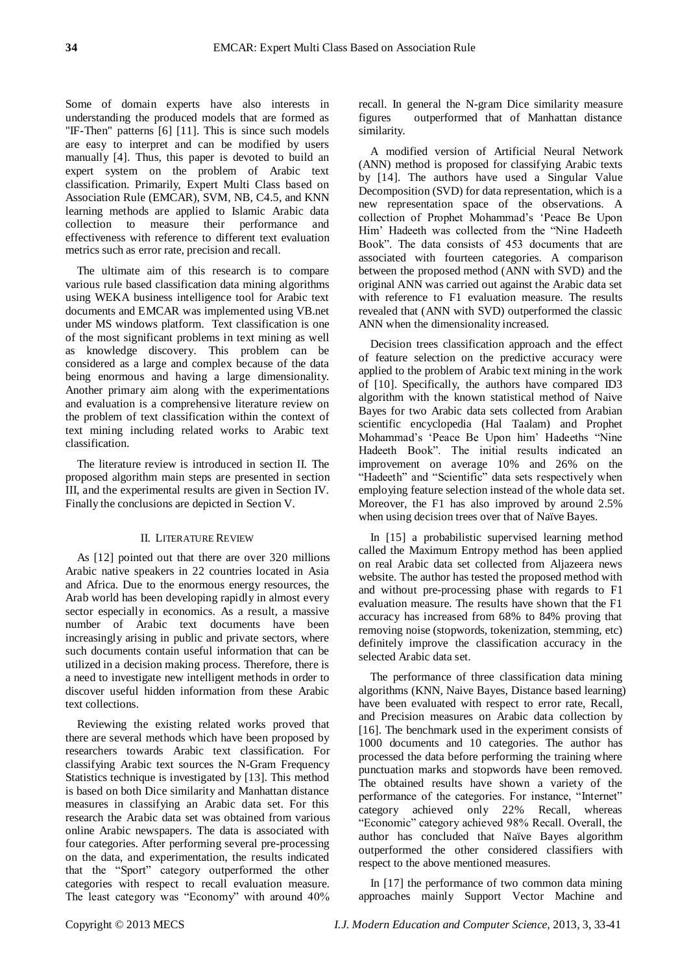Some of domain experts have also interests in understanding the produced models that are formed as "IF-Then" patterns [6] [11]. This is since such models are easy to interpret and can be modified by users manually [4]. Thus, this paper is devoted to build an expert system on the problem of Arabic text classification. Primarily, Expert Multi Class based on Association Rule (EMCAR), SVM, NB, C4.5, and KNN learning methods are applied to Islamic Arabic data collection to measure their performance and effectiveness with reference to different text evaluation metrics such as error rate, precision and recall.

The ultimate aim of this research is to compare various rule based classification data mining algorithms using WEKA business intelligence tool for Arabic text documents and EMCAR was implemented using VB.net under MS windows platform. Text classification is one of the most significant problems in text mining as well as knowledge discovery. This problem can be considered as a large and complex because of the data being enormous and having a large dimensionality. Another primary aim along with the experimentations and evaluation is a comprehensive literature review on the problem of text classification within the context of text mining including related works to Arabic text classification.

The literature review is introduced in section II. The proposed algorithm main steps are presented in section III, and the experimental results are given in Section IV. Finally the conclusions are depicted in Section V.

## II. LITERATURE REVIEW

As [12] pointed out that there are over 320 millions Arabic native speakers in 22 countries located in Asia and Africa. Due to the enormous energy resources, the Arab world has been developing rapidly in almost every sector especially in economics. As a result, a massive number of Arabic text documents have been increasingly arising in public and private sectors, where such documents contain useful information that can be utilized in a decision making process. Therefore, there is a need to investigate new intelligent methods in order to discover useful hidden information from these Arabic text collections.

Reviewing the existing related works proved that there are several methods which have been proposed by researchers towards Arabic text classification. For classifying Arabic text sources the N-Gram Frequency Statistics technique is investigated by [13]. This method is based on both Dice similarity and Manhattan distance measures in classifying an Arabic data set. For this research the Arabic data set was obtained from various online Arabic newspapers. The data is associated with four categories. After performing several pre-processing on the data, and experimentation, the results indicated that the "Sport" category outperformed the other categories with respect to recall evaluation measure. The least category was "Economy" with around 40%

recall. In general the N-gram Dice similarity measure figures outperformed that of Manhattan distance similarity.

A modified version of Artificial Neural Network (ANN) method is proposed for classifying Arabic texts by [14]. The authors have used a Singular Value Decomposition (SVD) for data representation, which is a new representation space of the observations. A collection of Prophet Mohammad"s "Peace Be Upon Him" Hadeeth was collected from the "Nine Hadeeth Book". The data consists of 453 documents that are associated with fourteen categories. A comparison between the proposed method (ANN with SVD) and the original ANN was carried out against the Arabic data set with reference to F1 evaluation measure. The results revealed that (ANN with SVD) outperformed the classic ANN when the dimensionality increased.

Decision trees classification approach and the effect of feature selection on the predictive accuracy were applied to the problem of Arabic text mining in the work of [10]. Specifically, the authors have compared ID3 algorithm with the known statistical method of Naive Bayes for two Arabic data sets collected from Arabian scientific encyclopedia (Hal Taalam) and Prophet Mohammad"s "Peace Be Upon him" Hadeeths "Nine Hadeeth Book". The initial results indicated an improvement on average 10% and 26% on the "Hadeeth" and "Scientific" data sets respectively when employing feature selection instead of the whole data set. Moreover, the F1 has also improved by around 2.5% when using decision trees over that of Na  $\gamma$  Bayes.

In [15] a probabilistic supervised learning method called the Maximum Entropy method has been applied on real Arabic data set collected from Aljazeera news website. The author has tested the proposed method with and without pre-processing phase with regards to F1 evaluation measure. The results have shown that the F1 accuracy has increased from 68% to 84% proving that removing noise (stopwords, tokenization, stemming, etc) definitely improve the classification accuracy in the selected Arabic data set.

The performance of three classification data mining algorithms (KNN, Naive Bayes, Distance based learning) have been evaluated with respect to error rate, Recall, and Precision measures on Arabic data collection by [16]. The benchmark used in the experiment consists of 1000 documents and 10 categories. The author has processed the data before performing the training where punctuation marks and stopwords have been removed. The obtained results have shown a variety of the performance of the categories. For instance, "Internet" category achieved only 22% Recall, whereas "Economic" category achieved 98% Recall. Overall, the author has concluded that Naïve Bayes algorithm outperformed the other considered classifiers with respect to the above mentioned measures.

In [17] the performance of two common data mining approaches mainly Support Vector Machine and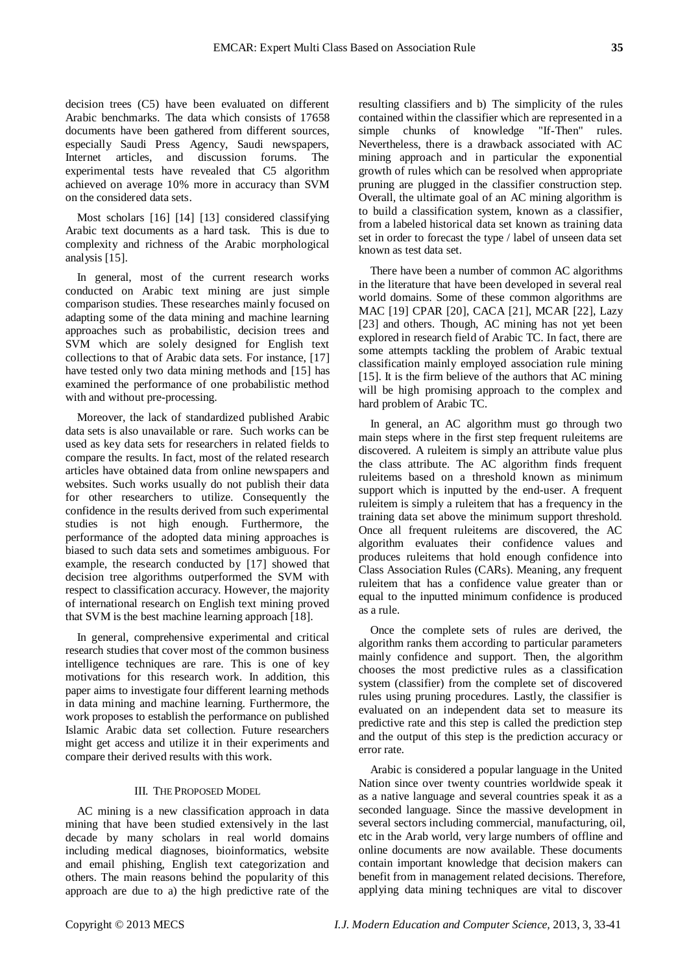decision trees (C5) have been evaluated on different Arabic benchmarks. The data which consists of 17658 documents have been gathered from different sources, especially Saudi Press Agency, Saudi newspapers, Internet articles, and discussion forums. The experimental tests have revealed that C5 algorithm achieved on average 10% more in accuracy than SVM on the considered data sets.

Most scholars [16] [14] [13] considered classifying Arabic text documents as a hard task. This is due to complexity and richness of the Arabic morphological analysis [15].

In general, most of the current research works conducted on Arabic text mining are just simple comparison studies. These researches mainly focused on adapting some of the data mining and machine learning approaches such as probabilistic, decision trees and SVM which are solely designed for English text collections to that of Arabic data sets. For instance, [17] have tested only two data mining methods and [15] has examined the performance of one probabilistic method with and without pre-processing.

Moreover, the lack of standardized published Arabic data sets is also unavailable or rare. Such works can be used as key data sets for researchers in related fields to compare the results. In fact, most of the related research articles have obtained data from online newspapers and websites. Such works usually do not publish their data for other researchers to utilize. Consequently the confidence in the results derived from such experimental studies is not high enough. Furthermore, the performance of the adopted data mining approaches is biased to such data sets and sometimes ambiguous. For example, the research conducted by [17] showed that decision tree algorithms outperformed the SVM with respect to classification accuracy. However, the majority of international research on English text mining proved that SVM is the best machine learning approach [18].

In general, comprehensive experimental and critical research studies that cover most of the common business intelligence techniques are rare. This is one of key motivations for this research work. In addition, this paper aims to investigate four different learning methods in data mining and machine learning. Furthermore, the work proposes to establish the performance on published Islamic Arabic data set collection. Future researchers might get access and utilize it in their experiments and compare their derived results with this work.

#### III. THE PROPOSED MODEL

AC mining is a new classification approach in data mining that have been studied extensively in the last decade by many scholars in real world domains including medical diagnoses, bioinformatics, website and email phishing, English text categorization and others. The main reasons behind the popularity of this approach are due to a) the high predictive rate of the resulting classifiers and b) The simplicity of the rules contained within the classifier which are represented in a simple chunks of knowledge "If-Then" rules. Nevertheless, there is a drawback associated with AC mining approach and in particular the exponential growth of rules which can be resolved when appropriate pruning are plugged in the classifier construction step. Overall, the ultimate goal of an AC mining algorithm is to build a classification system, known as a classifier, from a labeled historical data set known as training data set in order to forecast the type / label of unseen data set known as test data set.

There have been a number of common AC algorithms in the literature that have been developed in several real world domains. Some of these common algorithms are MAC [19] CPAR [20], CACA [21], MCAR [22], Lazy [23] and others. Though, AC mining has not yet been explored in research field of Arabic TC. In fact, there are some attempts tackling the problem of Arabic textual classification mainly employed association rule mining [15]. It is the firm believe of the authors that AC mining will be high promising approach to the complex and hard problem of Arabic TC.

In general, an AC algorithm must go through two main steps where in the first step frequent ruleitems are discovered. A ruleitem is simply an attribute value plus the class attribute. The AC algorithm finds frequent ruleitems based on a threshold known as minimum support which is inputted by the end-user. A frequent ruleitem is simply a ruleitem that has a frequency in the training data set above the minimum support threshold. Once all frequent ruleitems are discovered, the AC algorithm evaluates their confidence values and produces ruleitems that hold enough confidence into Class Association Rules (CARs). Meaning, any frequent ruleitem that has a confidence value greater than or equal to the inputted minimum confidence is produced as a rule.

Once the complete sets of rules are derived, the algorithm ranks them according to particular parameters mainly confidence and support. Then, the algorithm chooses the most predictive rules as a classification system (classifier) from the complete set of discovered rules using pruning procedures. Lastly, the classifier is evaluated on an independent data set to measure its predictive rate and this step is called the prediction step and the output of this step is the prediction accuracy or error rate.

Arabic is considered a popular language in the United Nation since over twenty countries worldwide speak it as a native language and several countries speak it as a seconded language. Since the massive development in several sectors including commercial, manufacturing, oil, etc in the Arab world, very large numbers of offline and online documents are now available. These documents contain important knowledge that decision makers can benefit from in management related decisions. Therefore, applying data mining techniques are vital to discover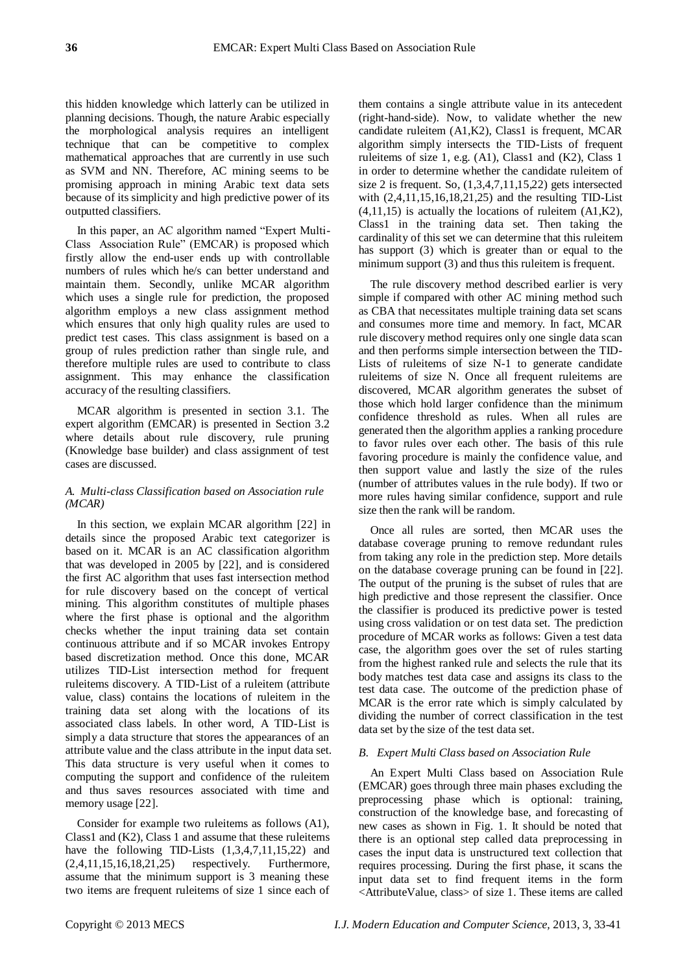this hidden knowledge which latterly can be utilized in planning decisions. Though, the nature Arabic especially the morphological analysis requires an intelligent technique that can be competitive to complex mathematical approaches that are currently in use such as SVM and NN. Therefore, AC mining seems to be promising approach in mining Arabic text data sets because of its simplicity and high predictive power of its outputted classifiers.

In this paper, an AC algorithm named "Expert Multi-Class Association Rule" (EMCAR) is proposed which firstly allow the end-user ends up with controllable numbers of rules which he/s can better understand and maintain them. Secondly, unlike MCAR algorithm which uses a single rule for prediction, the proposed algorithm employs a new class assignment method which ensures that only high quality rules are used to predict test cases. This class assignment is based on a group of rules prediction rather than single rule, and therefore multiple rules are used to contribute to class assignment. This may enhance the classification accuracy of the resulting classifiers.

MCAR algorithm is presented in section 3.1. The expert algorithm (EMCAR) is presented in Section 3.2 where details about rule discovery, rule pruning (Knowledge base builder) and class assignment of test cases are discussed.

# *A. Multi-class Classification based on Association rule (MCAR)*

In this section, we explain MCAR algorithm [22] in details since the proposed Arabic text categorizer is based on it. MCAR is an AC classification algorithm that was developed in 2005 by [22], and is considered the first AC algorithm that uses fast intersection method for rule discovery based on the concept of vertical mining. This algorithm constitutes of multiple phases where the first phase is optional and the algorithm checks whether the input training data set contain continuous attribute and if so MCAR invokes Entropy based discretization method. Once this done, MCAR utilizes TID-List intersection method for frequent ruleitems discovery. A TID-List of a ruleitem (attribute value, class) contains the locations of ruleitem in the training data set along with the locations of its associated class labels. In other word, A TID-List is simply a data structure that stores the appearances of an attribute value and the class attribute in the input data set. This data structure is very useful when it comes to computing the support and confidence of the ruleitem and thus saves resources associated with time and memory usage [22].

Consider for example two ruleitems as follows (A1), Class1 and (K2), Class 1 and assume that these ruleitems have the following TID-Lists  $(1,3,4,7,11,15,22)$  and (2,4,11,15,16,18,21,25) respectively. Furthermore, assume that the minimum support is 3 meaning these two items are frequent ruleitems of size 1 since each of

them contains a single attribute value in its antecedent (right-hand-side). Now, to validate whether the new candidate ruleitem (A1,K2), Class1 is frequent, MCAR algorithm simply intersects the TID-Lists of frequent ruleitems of size 1, e.g.  $(A1)$ , Class1 and  $(K2)$ , Class 1 in order to determine whether the candidate ruleitem of size 2 is frequent. So,  $(1,3,4,7,11,15,22)$  gets intersected with (2,4,11,15,16,18,21,25) and the resulting TID-List (4,11,15) is actually the locations of ruleitem (A1,K2), Class1 in the training data set. Then taking the cardinality of this set we can determine that this ruleitem has support (3) which is greater than or equal to the minimum support (3) and thus this ruleitem is frequent.

The rule discovery method described earlier is very simple if compared with other AC mining method such as CBA that necessitates multiple training data set scans and consumes more time and memory. In fact, MCAR rule discovery method requires only one single data scan and then performs simple intersection between the TID-Lists of ruleitems of size N-1 to generate candidate ruleitems of size N. Once all frequent ruleitems are discovered, MCAR algorithm generates the subset of those which hold larger confidence than the minimum confidence threshold as rules. When all rules are generated then the algorithm applies a ranking procedure to favor rules over each other. The basis of this rule favoring procedure is mainly the confidence value, and then support value and lastly the size of the rules (number of attributes values in the rule body). If two or more rules having similar confidence, support and rule size then the rank will be random.

Once all rules are sorted, then MCAR uses the database coverage pruning to remove redundant rules from taking any role in the prediction step. More details on the database coverage pruning can be found in [22]. The output of the pruning is the subset of rules that are high predictive and those represent the classifier. Once the classifier is produced its predictive power is tested using cross validation or on test data set. The prediction procedure of MCAR works as follows: Given a test data case, the algorithm goes over the set of rules starting from the highest ranked rule and selects the rule that its body matches test data case and assigns its class to the test data case. The outcome of the prediction phase of MCAR is the error rate which is simply calculated by dividing the number of correct classification in the test data set by the size of the test data set.

## *B. Expert Multi Class based on Association Rule*

An Expert Multi Class based on Association Rule (EMCAR) goes through three main phases excluding the preprocessing phase which is optional: training, construction of the knowledge base, and forecasting of new cases as shown in Fig. 1. It should be noted that there is an optional step called data preprocessing in cases the input data is unstructured text collection that requires processing. During the first phase, it scans the input data set to find frequent items in the form <AttributeValue, class> of size 1. These items are called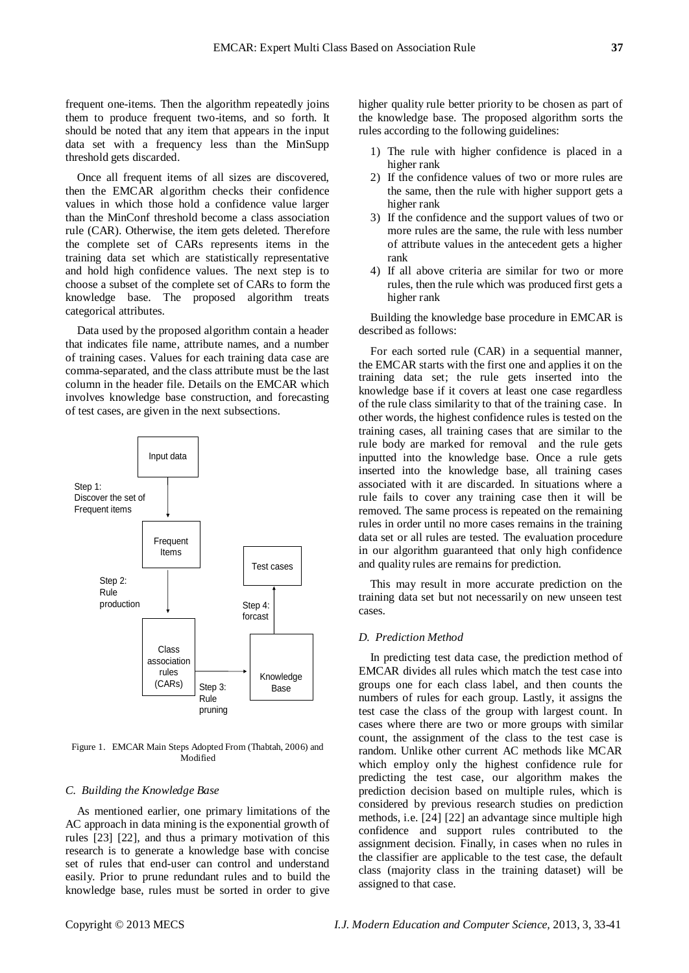frequent one-items. Then the algorithm repeatedly joins them to produce frequent two-items, and so forth. It should be noted that any item that appears in the input data set with a frequency less than the MinSupp threshold gets discarded.

Once all frequent items of all sizes are discovered, then the EMCAR algorithm checks their confidence values in which those hold a confidence value larger than the MinConf threshold become a class association rule (CAR). Otherwise, the item gets deleted. Therefore the complete set of CARs represents items in the training data set which are statistically representative and hold high confidence values. The next step is to choose a subset of the complete set of CARs to form the knowledge base. The proposed algorithm treats categorical attributes.

Data used by the proposed algorithm contain a header that indicates file name, attribute names, and a number of training cases. Values for each training data case are comma-separated, and the class attribute must be the last column in the header file. Details on the EMCAR which involves knowledge base construction, and forecasting of test cases, are given in the next subsections.



Figure 1. EMCAR Main Steps Adopted From (Thabtah, 2006) and Modified

## *C. Building the Knowledge Base*

As mentioned earlier, one primary limitations of the AC approach in data mining is the exponential growth of rules [23] [22], and thus a primary motivation of this research is to generate a knowledge base with concise set of rules that end-user can control and understand easily. Prior to prune redundant rules and to build the knowledge base, rules must be sorted in order to give higher quality rule better priority to be chosen as part of the knowledge base. The proposed algorithm sorts the rules according to the following guidelines:

- 1) The rule with higher confidence is placed in a higher rank
- 2) If the confidence values of two or more rules are the same, then the rule with higher support gets a higher rank
- 3) If the confidence and the support values of two or more rules are the same, the rule with less number of attribute values in the antecedent gets a higher rank
- 4) If all above criteria are similar for two or more rules, then the rule which was produced first gets a higher rank

Building the knowledge base procedure in EMCAR is described as follows:

For each sorted rule (CAR) in a sequential manner, the EMCAR starts with the first one and applies it on the training data set; the rule gets inserted into the knowledge base if it covers at least one case regardless of the rule class similarity to that of the training case. In other words, the highest confidence rules is tested on the training cases, all training cases that are similar to the rule body are marked for removal and the rule gets inputted into the knowledge base. Once a rule gets inserted into the knowledge base, all training cases associated with it are discarded. In situations where a rule fails to cover any training case then it will be removed. The same process is repeated on the remaining rules in order until no more cases remains in the training data set or all rules are tested. The evaluation procedure in our algorithm guaranteed that only high confidence and quality rules are remains for prediction.

This may result in more accurate prediction on the training data set but not necessarily on new unseen test cases.

## *D. Prediction Method*

In predicting test data case, the prediction method of EMCAR divides all rules which match the test case into groups one for each class label, and then counts the numbers of rules for each group. Lastly, it assigns the test case the class of the group with largest count. In cases where there are two or more groups with similar count, the assignment of the class to the test case is random. Unlike other current AC methods like MCAR which employ only the highest confidence rule for predicting the test case, our algorithm makes the prediction decision based on multiple rules, which is considered by previous research studies on prediction methods, i.e. [24] [22] an advantage since multiple high confidence and support rules contributed to the assignment decision. Finally, in cases when no rules in the classifier are applicable to the test case, the default class (majority class in the training dataset) will be assigned to that case.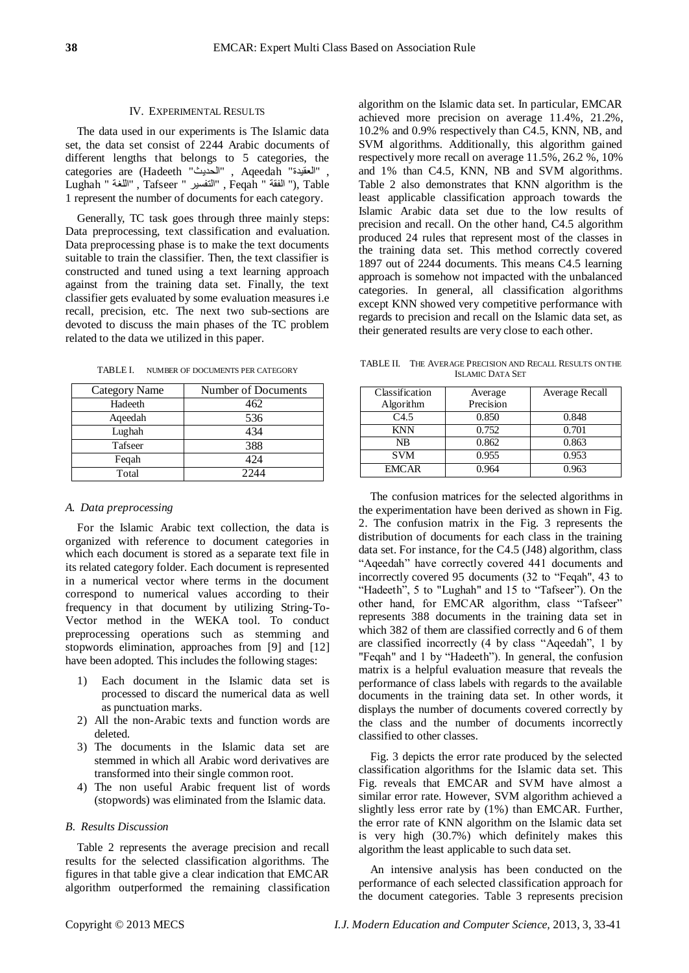### IV. EXPERIMENTAL RESULTS

The data used in our experiments is The Islamic data set, the data set consist of 2244 Arabic documents of different lengths that belongs to 5 categories, the categories are (Hadeeth "الحديث ", Aqeedah "العقيدة ", Lughah " اللغة ", Tafseer " التفسير ", Feqah " الفقة(" , Table 1 represent the number of documents for each category.

Generally, TC task goes through three mainly steps: Data preprocessing, text classification and evaluation. Data preprocessing phase is to make the text documents suitable to train the classifier. Then, the text classifier is constructed and tuned using a text learning approach against from the training data set. Finally, the text classifier gets evaluated by some evaluation measures i.e recall, precision, etc. The next two sub-sections are devoted to discuss the main phases of the TC problem related to the data we utilized in this paper.

| <b>Category Name</b> | Number of Documents |
|----------------------|---------------------|
| Hadeeth              | 462                 |
| Aqeedah              | 536                 |
| Lughah               | 434                 |
| Tafseer              | 388                 |
| Feqah                | 424                 |
| Total                | 224                 |

TABLE I. NUMBER OF DOCUMENTS PER CATEGORY

#### *A. Data preprocessing*

For the Islamic Arabic text collection, the data is organized with reference to document categories in which each document is stored as a separate text file in its related category folder. Each document is represented in a numerical vector where terms in the document correspond to numerical values according to their frequency in that document by utilizing String-To-Vector method in the WEKA tool. To conduct preprocessing operations such as stemming and stopwords elimination, approaches from [9] and [12] have been adopted. This includes the following stages:

- 1) Each document in the Islamic data set is processed to discard the numerical data as well as punctuation marks.
- 2) All the non-Arabic texts and function words are deleted.
- 3) The documents in the Islamic data set are stemmed in which all Arabic word derivatives are transformed into their single common root.
- 4) The non useful Arabic frequent list of words (stopwords) was eliminated from the Islamic data.

#### *B. Results Discussion*

Table 2 represents the average precision and recall results for the selected classification algorithms. The figures in that table give a clear indication that EMCAR algorithm outperformed the remaining classification algorithm on the Islamic data set. In particular, EMCAR achieved more precision on average 11.4%, 21.2%, 10.2% and 0.9% respectively than C4.5, KNN, NB, and SVM algorithms. Additionally, this algorithm gained respectively more recall on average 11.5%, 26.2 %, 10% and 1% than C4.5, KNN, NB and SVM algorithms. Table 2 also demonstrates that KNN algorithm is the least applicable classification approach towards the Islamic Arabic data set due to the low results of precision and recall. On the other hand, C4.5 algorithm produced 24 rules that represent most of the classes in the training data set. This method correctly covered 1897 out of 2244 documents. This means C4.5 learning approach is somehow not impacted with the unbalanced categories. In general, all classification algorithms except KNN showed very competitive performance with regards to precision and recall on the Islamic data set, as their generated results are very close to each other.

TABLE II. THE AVERAGE PRECISION AND RECALL RESULTS ON THE ISLAMIC DATA SET

| Classification<br>Algorithm | Average<br>Precision | Average Recall |
|-----------------------------|----------------------|----------------|
| C4.5                        | 0.850                | 0.848          |
| <b>KNN</b>                  | 0.752                | 0.701          |
| <b>NB</b>                   | 0.862                | 0.863          |
| <b>SVM</b>                  | 0.955                | 0.953          |
| <b>EMCAR</b>                | 0.964                | 0.963          |

The confusion matrices for the selected algorithms in the experimentation have been derived as shown in Fig. 2. The confusion matrix in the Fig. 3 represents the distribution of documents for each class in the training data set. For instance, for the C4.5 (J48) algorithm, class "Aqeedah" have correctly covered 441 documents and incorrectly covered 95 documents (32 to "Feqah", 43 to "Hadeeth", 5 to "Lughah" and 15 to "Tafseer"). On the other hand, for EMCAR algorithm, class "Tafseer" represents 388 documents in the training data set in which 382 of them are classified correctly and 6 of them are classified incorrectly (4 by class "Aqeedah", 1 by "Feqah" and 1 by "Hadeeth"). In general, the confusion matrix is a helpful evaluation measure that reveals the performance of class labels with regards to the available documents in the training data set. In other words, it displays the number of documents covered correctly by the class and the number of documents incorrectly classified to other classes.

Fig. 3 depicts the error rate produced by the selected classification algorithms for the Islamic data set. This Fig. reveals that EMCAR and SVM have almost a similar error rate. However, SVM algorithm achieved a slightly less error rate by (1%) than EMCAR. Further, the error rate of KNN algorithm on the Islamic data set is very high (30.7%) which definitely makes this algorithm the least applicable to such data set.

An intensive analysis has been conducted on the performance of each selected classification approach for the document categories. Table 3 represents precision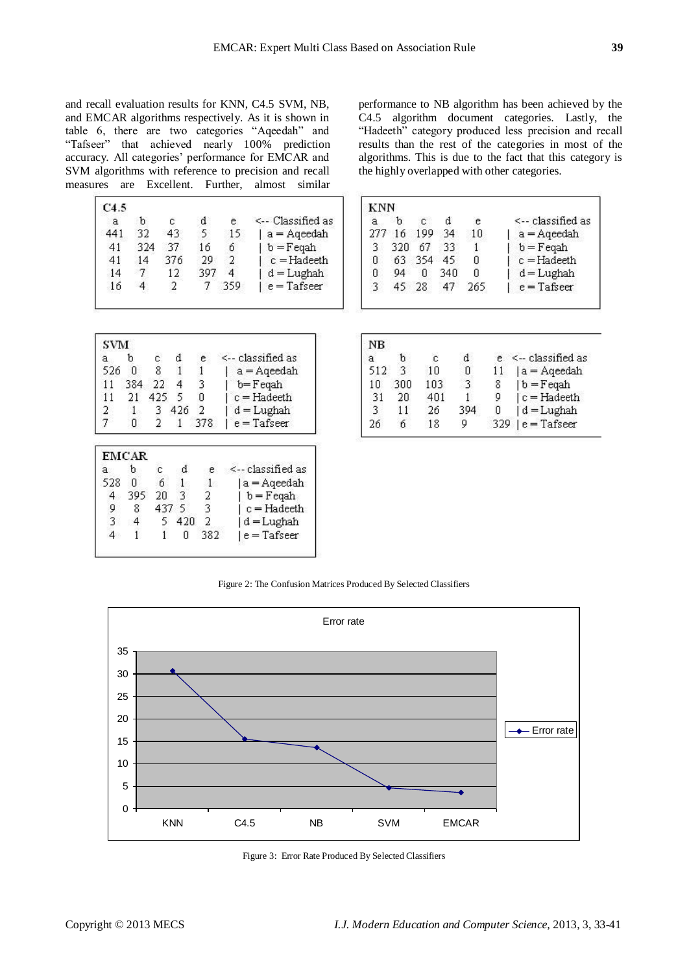and recall evaluation results for KNN, C4.5 SVM, NB, and EMCAR algorithms respectively. As it is shown in table 6, there are two categories "Aqeedah" and "Tafseer" that achieved nearly 100% prediction accuracy. All categories" performance for EMCAR and SVM algorithms with reference to precision and recall measures are Excellent. Further, almost similar

| C4.5 |     |     |     |     |                            |
|------|-----|-----|-----|-----|----------------------------|
| а    | ħ   | c   | d   | е   | $\leftarrow$ Classified as |
| 441  | 32  | 43  | 5.  | 15  | a = Aqeedah                |
| 41   | 324 | 37  | 16  | б   | $  b = F$ eqah             |
| 41   | 14  | 376 | 29  |     | $c = Hadeeth$              |
| 14   |     | 12  | 397 | 4   | $d = Lughah$               |
| 16   |     |     |     | 350 | $e = T$ afseer             |

performance to NB algorithm has been achieved by the C4.5 algorithm document categories. Lastly, the "Hadeeth" category produced less precision and recall results than the rest of the categories in most of the algorithms. This is due to the fact that this category is the highly overlapped with other categories.

| KNN |     |     |     |     |                   |
|-----|-----|-----|-----|-----|-------------------|
|     | ħ   | C   | d   | е   | <-- classified as |
| 277 | 16  | 199 | 34  | 1П  | $a = Aqeedah$     |
|     | 320 | 67  | 33  |     | $b = F$ eqah      |
| н   | 63  | 354 | 45  | п   | $c = H$ adeeth    |
|     | 04  | n   | 340 | N   | $d = Lughah$      |
|     | 45  | 28  | 47  | 265 | $e =$ Tafseer     |

| SVM |     |     |     |     |                   |
|-----|-----|-----|-----|-----|-------------------|
| а   | h   |     |     | e   | <-- classified as |
| 526 | n   | 8   |     |     | $a = A$ qeedah    |
| 11  | 384 | 22  | 4   |     | $b = F$ eqah      |
| 11  | 21  | 425 |     |     | $c = Hadeeth$     |
| 2   |     |     | 426 |     | $d = Lughah$      |
|     | П   |     |     | 378 | $e = T$ afseer    |

|     | <b>EMCAR</b> |     |     |     |                   |
|-----|--------------|-----|-----|-----|-------------------|
|     | h            |     | d   |     | <-- classified as |
| 528 | П            | ń   |     |     | a = Aqeedah       |
|     | 395          | 20  | 3   |     | $b = F$ eqah      |
|     | 8            | 437 | 5   |     | $c = Hadeeth$     |
|     |              |     | 420 |     | $d = Lughah$      |
|     |              |     |     | 382 | $e = T$ afseer    |
|     |              |     |     |     |                   |

| NΒ   |     |     |   |     |                          |
|------|-----|-----|---|-----|--------------------------|
| а    | h   |     | d |     | $e \leq$ - classified as |
| 512. | З   | 1 N |   |     | a = Aqeedah              |
| л    | 300 | 103 |   | 8   | $ b = F$ eqah            |
| 31   | 20  | 401 |   | 9   | $ c = Hadeeth$           |
|      | 11  | 26  |   | n   | $d = Lughah$             |
| 26   | ń   | 18  |   | 329 | $e = T$ afseer           |

Figure 2: The Confusion Matrices Produced By Selected Classifiers



Figure 3: Error Rate Produced By Selected Classifiers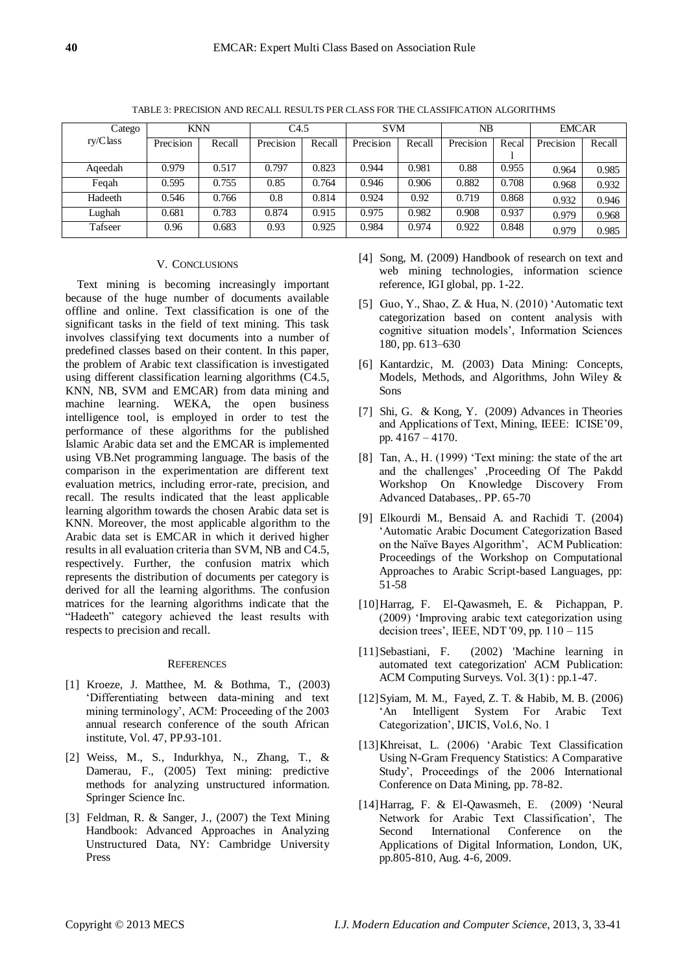| Catego   |  | <b>KNN</b> |        | C4.5      |        | <b>SVM</b> |        | NB        |       | <b>EMCAR</b> |        |
|----------|--|------------|--------|-----------|--------|------------|--------|-----------|-------|--------------|--------|
| ry/Class |  | Precision  | Recall | Precision | Recall | Precision  | Recall | Precision | Recal | Precision    | Recall |
|          |  |            |        |           |        |            |        |           |       |              |        |
| Ageedah  |  | 0.979      | 0.517  | 0.797     | 0.823  | 0.944      | 0.981  | 0.88      | 0.955 | 0.964        | 0.985  |
| Fegah    |  | 0.595      | 0.755  | 0.85      | 0.764  | 0.946      | 0.906  | 0.882     | 0.708 | 0.968        | 0.932  |
| Hadeeth  |  | 0.546      | 0.766  | 0.8       | 0.814  | 0.924      | 0.92   | 0.719     | 0.868 | 0.932        | 0.946  |
| Lughah   |  | 0.681      | 0.783  | 0.874     | 0.915  | 0.975      | 0.982  | 0.908     | 0.937 | 0.979        | 0.968  |
| Tafseer  |  | 0.96       | 0.683  | 0.93      | 0.925  | 0.984      | 0.974  | 0.922     | 0.848 | 0.979        | 0.985  |

TABLE 3: PRECISION AND RECALL RESULTS PER CLASS FOR THE CLASSIFICATION ALGORITHMS

## V. CONCLUSIONS

Text mining is becoming increasingly important because of the huge number of documents available offline and online. Text classification is one of the significant tasks in the field of text mining. This task involves classifying text documents into a number of predefined classes based on their content. In this paper, the problem of Arabic text classification is investigated using different classification learning algorithms (C4.5, KNN, NB, SVM and EMCAR) from data mining and machine learning. WEKA, the open business intelligence tool, is employed in order to test the performance of these algorithms for the published Islamic Arabic data set and the EMCAR is implemented using VB.Net programming language. The basis of the comparison in the experimentation are different text evaluation metrics, including error-rate, precision, and recall. The results indicated that the least applicable learning algorithm towards the chosen Arabic data set is KNN. Moreover, the most applicable algorithm to the Arabic data set is EMCAR in which it derived higher results in all evaluation criteria than SVM, NB and C4.5, respectively. Further, the confusion matrix which represents the distribution of documents per category is derived for all the learning algorithms. The confusion matrices for the learning algorithms indicate that the "Hadeeth" category achieved the least results with respects to precision and recall.

#### **REFERENCES**

- [1] Kroeze, J. Matthee, M. & Bothma, T., (2003) "Differentiating between data-mining and text mining terminology", ACM: Proceeding of the 2003 annual research conference of the south African institute, Vol. 47, PP.93-101.
- [2] Weiss, M., S., Indurkhya, N., Zhang, T., & Damerau, F., (2005) Text mining: predictive methods for analyzing unstructured information. Springer Science Inc.
- [3] Feldman, R. & Sanger, J., (2007) the Text Mining Handbook: Advanced Approaches in Analyzing Unstructured Data, NY: Cambridge University Press
- [4] Song, M. (2009) Handbook of research on text and web mining technologies, information science reference, IGI global, pp. 1-22.
- [5] Guo, Y., Shao, Z. & Hua, N. (2010) "Automatic text categorization based on content analysis with cognitive situation models", Information Sciences 180, pp. 613–630
- [6] Kantardzic, M. (2003) Data Mining: Concepts, Models, Methods, and Algorithms, John Wiley & Sons
- [7] Shi, G. & Kong, Y. (2009) Advances in Theories and Applications of Text, Mining, IEEE: ICISE"09, pp. 4167 – 4170.
- [8] Tan, A., H. (1999) 'Text mining: the state of the art and the challenges" ,Proceeding Of The Pakdd Workshop On Knowledge Discovery From Advanced Databases,. PP. 65-70
- [9] Elkourdi M., Bensaid A. and Rachidi T. (2004) "Automatic Arabic Document Categorization Based on the Naïve Bayes Algorithm", ACM Publication: Proceedings of the Workshop on Computational Approaches to Arabic Script-based Languages, pp: 51-58
- [10]Harrag, F. El-Qawasmeh, E. & Pichappan, P. (2009) "Improving arabic text categorization using decision trees", IEEE, NDT '09, pp. 110 – 115
- [11]Sebastiani, F. (2002) 'Machine learning in automated text categorization' ACM Publication: ACM Computing Surveys. Vol. 3(1) : pp.1-47.
- [12]Syiam, M. M., Fayed, Z. T. & Habib, M. B. (2006) "An Intelligent System For Arabic Text Categorization", IJICIS, Vol.6, No. 1
- [13]Khreisat, L. (2006) "Arabic Text Classification Using N-Gram Frequency Statistics: A Comparative Study", Proceedings of the 2006 International Conference on Data Mining, pp. 78-82.
- [14]Harrag, F. & El-Qawasmeh, E. (2009) "Neural Network for Arabic Text Classification', The Second International Conference on the Applications of Digital Information, London, UK, pp.805-810, Aug. 4-6, 2009.